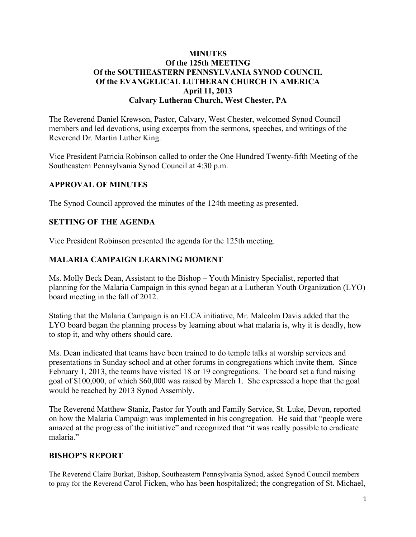### **MINUTES Of the 125th MEETING Of the SOUTHEASTERN PENNSYLVANIA SYNOD COUNCIL Of the EVANGELICAL LUTHERAN CHURCH IN AMERICA April 11, 2013 Calvary Lutheran Church, West Chester, PA**

The Reverend Daniel Krewson, Pastor, Calvary, West Chester, welcomed Synod Council members and led devotions, using excerpts from the sermons, speeches, and writings of the Reverend Dr. Martin Luther King.

Vice President Patricia Robinson called to order the One Hundred Twenty-fifth Meeting of the Southeastern Pennsylvania Synod Council at 4:30 p.m.

### **APPROVAL OF MINUTES**

The Synod Council approved the minutes of the 124th meeting as presented.

### **SETTING OF THE AGENDA**

Vice President Robinson presented the agenda for the 125th meeting.

### **MALARIA CAMPAIGN LEARNING MOMENT**

Ms. Molly Beck Dean, Assistant to the Bishop – Youth Ministry Specialist, reported that planning for the Malaria Campaign in this synod began at a Lutheran Youth Organization (LYO) board meeting in the fall of 2012.

Stating that the Malaria Campaign is an ELCA initiative, Mr. Malcolm Davis added that the LYO board began the planning process by learning about what malaria is, why it is deadly, how to stop it, and why others should care.

Ms. Dean indicated that teams have been trained to do temple talks at worship services and presentations in Sunday school and at other forums in congregations which invite them. Since February 1, 2013, the teams have visited 18 or 19 congregations. The board set a fund raising goal of \$100,000, of which \$60,000 was raised by March 1. She expressed a hope that the goal would be reached by 2013 Synod Assembly.

The Reverend Matthew Staniz, Pastor for Youth and Family Service, St. Luke, Devon, reported on how the Malaria Campaign was implemented in his congregation. He said that "people were amazed at the progress of the initiative" and recognized that "it was really possible to eradicate malaria."

### **BISHOP'S REPORT**

The Reverend Claire Burkat, Bishop, Southeastern Pennsylvania Synod, asked Synod Council members to pray for the Reverend Carol Ficken, who has been hospitalized; the congregation of St. Michael,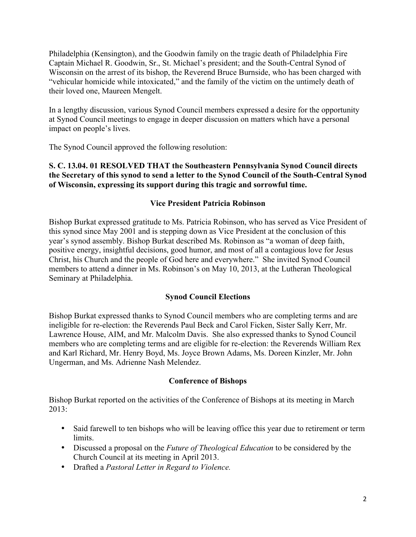Philadelphia (Kensington), and the Goodwin family on the tragic death of Philadelphia Fire Captain Michael R. Goodwin, Sr., St. Michael's president; and the South-Central Synod of Wisconsin on the arrest of its bishop, the Reverend Bruce Burnside, who has been charged with "vehicular homicide while intoxicated," and the family of the victim on the untimely death of their loved one, Maureen Mengelt.

In a lengthy discussion, various Synod Council members expressed a desire for the opportunity at Synod Council meetings to engage in deeper discussion on matters which have a personal impact on people's lives.

The Synod Council approved the following resolution:

**S. C. 13.04. 01 RESOLVED THAT the Southeastern Pennsylvania Synod Council directs the Secretary of this synod to send a letter to the Synod Council of the South-Central Synod of Wisconsin, expressing its support during this tragic and sorrowful time.**

### **Vice President Patricia Robinson**

Bishop Burkat expressed gratitude to Ms. Patricia Robinson, who has served as Vice President of this synod since May 2001 and is stepping down as Vice President at the conclusion of this year's synod assembly. Bishop Burkat described Ms. Robinson as "a woman of deep faith, positive energy, insightful decisions, good humor, and most of all a contagious love for Jesus Christ, his Church and the people of God here and everywhere." She invited Synod Council members to attend a dinner in Ms. Robinson's on May 10, 2013, at the Lutheran Theological Seminary at Philadelphia.

# **Synod Council Elections**

Bishop Burkat expressed thanks to Synod Council members who are completing terms and are ineligible for re-election: the Reverends Paul Beck and Carol Ficken, Sister Sally Kerr, Mr. Lawrence House, AIM, and Mr. Malcolm Davis. She also expressed thanks to Synod Council members who are completing terms and are eligible for re-election: the Reverends William Rex and Karl Richard, Mr. Henry Boyd, Ms. Joyce Brown Adams, Ms. Doreen Kinzler, Mr. John Ungerman, and Ms. Adrienne Nash Melendez.

### **Conference of Bishops**

Bishop Burkat reported on the activities of the Conference of Bishops at its meeting in March 2013:

- Said farewell to ten bishops who will be leaving office this year due to retirement or term limits.
- Discussed a proposal on the *Future of Theological Education* to be considered by the Church Council at its meeting in April 2013.
- Drafted a *Pastoral Letter in Regard to Violence.*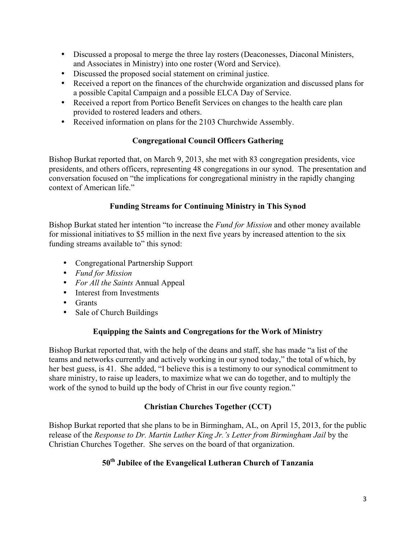- Discussed a proposal to merge the three lay rosters (Deaconesses, Diaconal Ministers, and Associates in Ministry) into one roster (Word and Service).
- Discussed the proposed social statement on criminal justice.
- Received a report on the finances of the churchwide organization and discussed plans for a possible Capital Campaign and a possible ELCA Day of Service.
- Received a report from Portico Benefit Services on changes to the health care plan provided to rostered leaders and others.
- Received information on plans for the 2103 Churchwide Assembly.

### **Congregational Council Officers Gathering**

Bishop Burkat reported that, on March 9, 2013, she met with 83 congregation presidents, vice presidents, and others officers, representing 48 congregations in our synod. The presentation and conversation focused on "the implications for congregational ministry in the rapidly changing context of American life."

### **Funding Streams for Continuing Ministry in This Synod**

Bishop Burkat stated her intention "to increase the *Fund for Mission* and other money available for missional initiatives to \$5 million in the next five years by increased attention to the six funding streams available to" this synod:

- Congregational Partnership Support
- *Fund for Mission*
- *For All the Saints* Annual Appeal
- Interest from Investments
- Grants
- Sale of Church Buildings

### **Equipping the Saints and Congregations for the Work of Ministry**

Bishop Burkat reported that, with the help of the deans and staff, she has made "a list of the teams and networks currently and actively working in our synod today," the total of which, by her best guess, is 41. She added, "I believe this is a testimony to our synodical commitment to share ministry, to raise up leaders, to maximize what we can do together, and to multiply the work of the synod to build up the body of Christ in our five county region."

# **Christian Churches Together (CCT)**

Bishop Burkat reported that she plans to be in Birmingham, AL, on April 15, 2013, for the public release of the *Response to Dr. Martin Luther King Jr.'s Letter from Birmingham Jail* by the Christian Churches Together. She serves on the board of that organization.

# **50th Jubilee of the Evangelical Lutheran Church of Tanzania**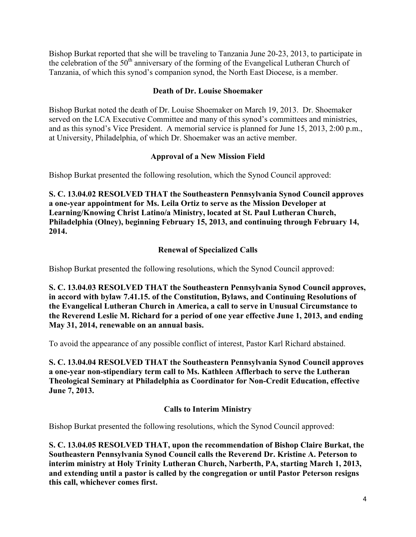Bishop Burkat reported that she will be traveling to Tanzania June 20-23, 2013, to participate in the celebration of the 50<sup>th</sup> anniversary of the forming of the Evangelical Lutheran Church of Tanzania, of which this synod's companion synod, the North East Diocese, is a member.

### **Death of Dr. Louise Shoemaker**

Bishop Burkat noted the death of Dr. Louise Shoemaker on March 19, 2013. Dr. Shoemaker served on the LCA Executive Committee and many of this synod's committees and ministries, and as this synod's Vice President. A memorial service is planned for June 15, 2013, 2:00 p.m., at University, Philadelphia, of which Dr. Shoemaker was an active member.

### **Approval of a New Mission Field**

Bishop Burkat presented the following resolution, which the Synod Council approved:

**S. C. 13.04.02 RESOLVED THAT the Southeastern Pennsylvania Synod Council approves a one-year appointment for Ms. Leila Ortiz to serve as the Mission Developer at Learning/Knowing Christ Latino/a Ministry, located at St. Paul Lutheran Church, Philadelphia (Olney), beginning February 15, 2013, and continuing through February 14, 2014.**

# **Renewal of Specialized Calls**

Bishop Burkat presented the following resolutions, which the Synod Council approved:

**S. C. 13.04.03 RESOLVED THAT the Southeastern Pennsylvania Synod Council approves, in accord with bylaw 7.41.15. of the Constitution, Bylaws, and Continuing Resolutions of the Evangelical Lutheran Church in America, a call to serve in Unusual Circumstance to the Reverend Leslie M. Richard for a period of one year effective June 1, 2013, and ending May 31, 2014, renewable on an annual basis.**

To avoid the appearance of any possible conflict of interest, Pastor Karl Richard abstained.

**S. C. 13.04.04 RESOLVED THAT the Southeastern Pennsylvania Synod Council approves a one-year non-stipendiary term call to Ms. Kathleen Afflerbach to serve the Lutheran Theological Seminary at Philadelphia as Coordinator for Non-Credit Education, effective June 7, 2013.**

# **Calls to Interim Ministry**

Bishop Burkat presented the following resolutions, which the Synod Council approved:

**S. C. 13.04.05 RESOLVED THAT, upon the recommendation of Bishop Claire Burkat, the Southeastern Pennsylvania Synod Council calls the Reverend Dr. Kristine A. Peterson to interim ministry at Holy Trinity Lutheran Church, Narberth, PA, starting March 1, 2013, and extending until a pastor is called by the congregation or until Pastor Peterson resigns this call, whichever comes first.**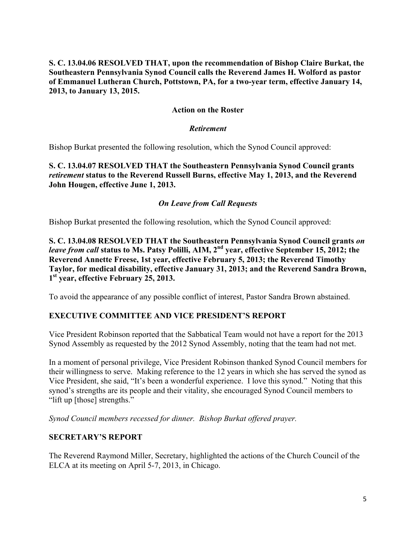### **S. C. 13.04.06 RESOLVED THAT, upon the recommendation of Bishop Claire Burkat, the Southeastern Pennsylvania Synod Council calls the Reverend James H. Wolford as pastor of Emmanuel Lutheran Church, Pottstown, PA, for a two-year term, effective January 14, 2013, to January 13, 2015.**

#### **Action on the Roster**

#### *Retirement*

Bishop Burkat presented the following resolution, which the Synod Council approved:

**S. C. 13.04.07 RESOLVED THAT the Southeastern Pennsylvania Synod Council grants**  *retirement* **status to the Reverend Russell Burns, effective May 1, 2013, and the Reverend John Hougen, effective June 1, 2013.**

#### *On Leave from Call Requests*

Bishop Burkat presented the following resolution, which the Synod Council approved:

**S. C. 13.04.08 RESOLVED THAT the Southeastern Pennsylvania Synod Council grants** *on leave from call* **status to Ms. Patsy Polilli, AIM, 2nd year, effective September 15, 2012; the Reverend Annette Freese, 1st year, effective February 5, 2013; the Reverend Timothy Taylor, for medical disability, effective January 31, 2013; and the Reverend Sandra Brown, 1st year, effective February 25, 2013.**

To avoid the appearance of any possible conflict of interest, Pastor Sandra Brown abstained.

### **EXECUTIVE COMMITTEE AND VICE PRESIDENT'S REPORT**

Vice President Robinson reported that the Sabbatical Team would not have a report for the 2013 Synod Assembly as requested by the 2012 Synod Assembly, noting that the team had not met.

In a moment of personal privilege, Vice President Robinson thanked Synod Council members for their willingness to serve. Making reference to the 12 years in which she has served the synod as Vice President, she said, "It's been a wonderful experience. I love this synod." Noting that this synod's strengths are its people and their vitality, she encouraged Synod Council members to "lift up [those] strengths."

*Synod Council members recessed for dinner. Bishop Burkat offered prayer.*

#### **SECRETARY'S REPORT**

The Reverend Raymond Miller, Secretary, highlighted the actions of the Church Council of the ELCA at its meeting on April 5-7, 2013, in Chicago.